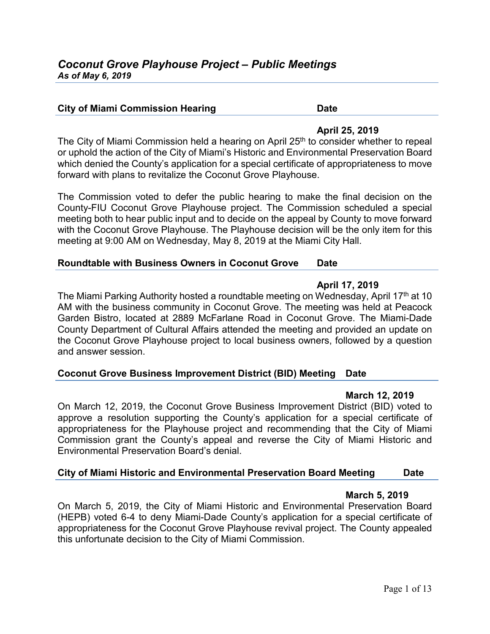#### **City of Miami Commission Hearing <b>Date** Date

# **April 25, 2019**

The City of Miami Commission held a hearing on April 25<sup>th</sup> to consider whether to repeal or uphold the action of the City of Miami's Historic and Environmental Preservation Board which denied the County's application for a special certificate of appropriateness to move forward with plans to revitalize the Coconut Grove Playhouse.

The Commission voted to defer the public hearing to make the final decision on the County-FIU Coconut Grove Playhouse project. The Commission scheduled a special meeting both to hear public input and to decide on the appeal by County to move forward with the Coconut Grove Playhouse. The Playhouse decision will be the only item for this meeting at 9:00 AM on Wednesday, May 8, 2019 at the Miami City Hall.

# **Roundtable with Business Owners in Coconut Grove Date**

# **April 17, 2019**

The Miami Parking Authority hosted a roundtable meeting on Wednesday, April 17<sup>th</sup> at 10 AM with the business community in Coconut Grove. The meeting was held at Peacock Garden Bistro, located at 2889 McFarlane Road in Coconut Grove. The Miami-Dade County Department of Cultural Affairs attended the meeting and provided an update on the Coconut Grove Playhouse project to local business owners, followed by a question and answer session.

# **Coconut Grove Business Improvement District (BID) Meeting Date**

# **March 12, 2019**

On March 12, 2019, the Coconut Grove Business Improvement District (BID) voted to approve a resolution supporting the County's application for a special certificate of appropriateness for the Playhouse project and recommending that the City of Miami Commission grant the County's appeal and reverse the City of Miami Historic and Environmental Preservation Board's denial.

# **City of Miami Historic and Environmental Preservation Board Meeting Date**

# **March 5, 2019**

On March 5, 2019, the City of Miami Historic and Environmental Preservation Board (HEPB) voted 6-4 to deny Miami-Dade County's application for a special certificate of appropriateness for the Coconut Grove Playhouse revival project. The County appealed this unfortunate decision to the City of Miami Commission.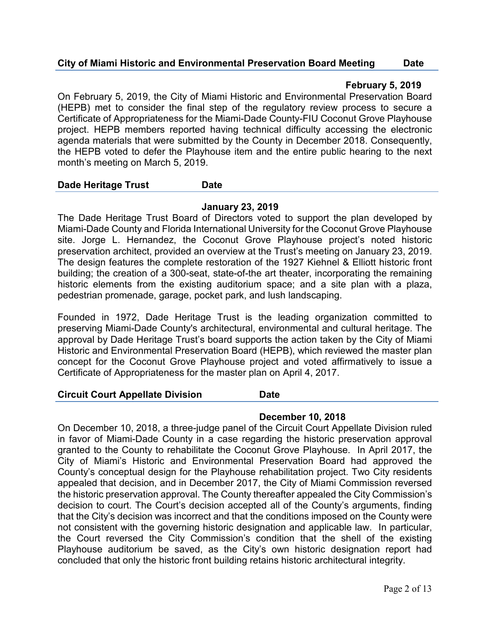# **City of Miami Historic and Environmental Preservation Board Meeting Date**

# **February 5, 2019**

On February 5, 2019, the City of Miami Historic and Environmental Preservation Board (HEPB) met to consider the final step of the regulatory review process to secure a Certificate of Appropriateness for the Miami-Dade County-FIU Coconut Grove Playhouse project. HEPB members reported having technical difficulty accessing the electronic agenda materials that were submitted by the County in December 2018. Consequently, the HEPB voted to defer the Playhouse item and the entire public hearing to the next month's meeting on March 5, 2019.

#### **Dade Heritage Trust Date**

# **January 23, 2019**

The Dade Heritage Trust Board of Directors voted to support the plan developed by Miami-Dade County and Florida International University for the Coconut Grove Playhouse site. Jorge L. Hernandez, the Coconut Grove Playhouse project's noted historic preservation architect, provided an overview at the Trust's meeting on January 23, 2019. The design features the complete restoration of the 1927 Kiehnel & Elliott historic front building; the creation of a 300-seat, state-of-the art theater, incorporating the remaining historic elements from the existing auditorium space; and a site plan with a plaza, pedestrian promenade, garage, pocket park, and lush landscaping.

Founded in 1972, Dade Heritage Trust is the leading organization committed to preserving Miami-Dade County's architectural, environmental and cultural heritage. The approval by Dade Heritage Trust's board supports the action taken by the City of Miami Historic and Environmental Preservation Board (HEPB), which reviewed the master plan concept for the Coconut Grove Playhouse project and voted affirmatively to issue a Certificate of Appropriateness for the master plan on April 4, 2017.

#### **Circuit Court Appellate Division Date**

# **December 10, 2018**

On December 10, 2018, a three-judge panel of the Circuit Court Appellate Division ruled in favor of Miami-Dade County in a case regarding the historic preservation approval granted to the County to rehabilitate the Coconut Grove Playhouse. In April 2017, the City of Miami's Historic and Environmental Preservation Board had approved the County's conceptual design for the Playhouse rehabilitation project. Two City residents appealed that decision, and in December 2017, the City of Miami Commission reversed the historic preservation approval. The County thereafter appealed the City Commission's decision to court. The Court's decision accepted all of the County's arguments, finding that the City's decision was incorrect and that the conditions imposed on the County were not consistent with the governing historic designation and applicable law. In particular, the Court reversed the City Commission's condition that the shell of the existing Playhouse auditorium be saved, as the City's own historic designation report had concluded that only the historic front building retains historic architectural integrity.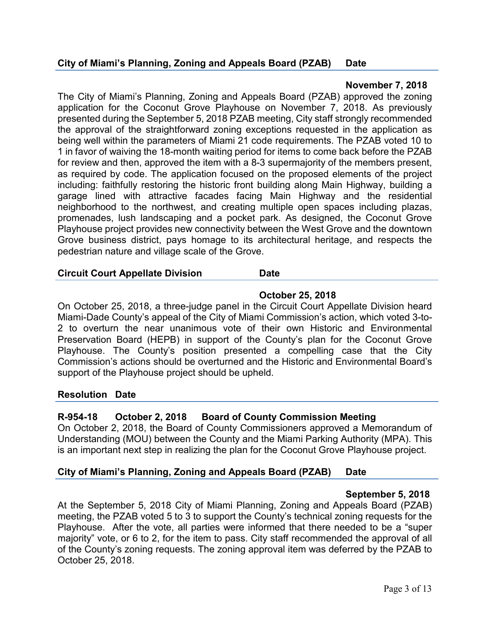# **November 7, 2018**

The City of Miami's Planning, Zoning and Appeals Board (PZAB) approved the zoning application for the Coconut Grove Playhouse on November 7, 2018. As previously presented during the September 5, 2018 PZAB meeting, City staff strongly recommended the approval of the straightforward zoning exceptions requested in the application as being well within the parameters of Miami 21 code requirements. The PZAB voted 10 to 1 in favor of waiving the 18-month waiting period for items to come back before the PZAB for review and then, approved the item with a 8-3 supermajority of the members present, as required by code. The application focused on the proposed elements of the project including: faithfully restoring the historic front building along Main Highway, building a garage lined with attractive facades facing Main Highway and the residential neighborhood to the northwest, and creating multiple open spaces including plazas, promenades, lush landscaping and a pocket park. As designed, the Coconut Grove Playhouse project provides new connectivity between the West Grove and the downtown Grove business district, pays homage to its architectural heritage, and respects the pedestrian nature and village scale of the Grove.

#### **Circuit Court Appellate Division Date**

# **October 25, 2018**

On October 25, 2018, a three-judge panel in the Circuit Court Appellate Division heard Miami-Dade County's appeal of the City of Miami Commission's action, which voted 3-to-2 to overturn the near unanimous vote of their own Historic and Environmental Preservation Board (HEPB) in support of the County's plan for the Coconut Grove Playhouse. The County's position presented a compelling case that the City Commission's actions should be overturned and the Historic and Environmental Board's support of the Playhouse project should be upheld.

# **Resolution Date**

# **R-954-18 October 2, 2018 Board of County Commission Meeting**

On October 2, 2018, the Board of County Commissioners approved a Memorandum of Understanding (MOU) between the County and the Miami Parking Authority (MPA). This is an important next step in realizing the plan for the Coconut Grove Playhouse project.

# **City of Miami's Planning, Zoning and Appeals Board (PZAB) Date**

# **September 5, 2018**

At the September 5, 2018 City of Miami Planning, Zoning and Appeals Board (PZAB) meeting, the PZAB voted 5 to 3 to support the County's technical zoning requests for the Playhouse. After the vote, all parties were informed that there needed to be a "super majority" vote, or 6 to 2, for the item to pass. City staff recommended the approval of all of the County's zoning requests. The zoning approval item was deferred by the PZAB to October 25, 2018.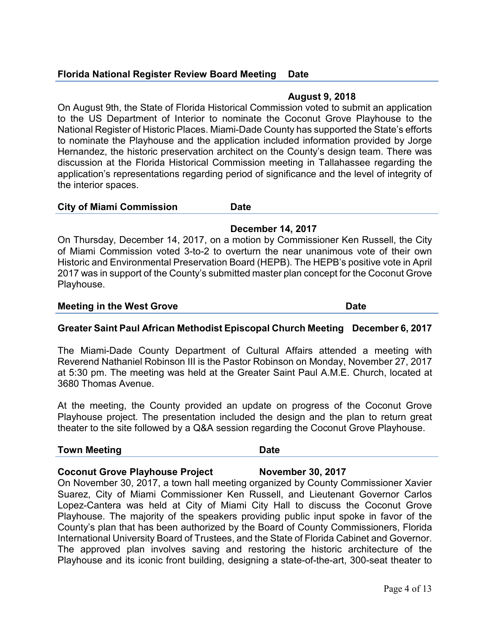# **Florida National Register Review Board Meeting Date**

#### **August 9, 2018**

On August 9th, the State of Florida Historical Commission voted to submit an application to the US Department of Interior to nominate the Coconut Grove Playhouse to the National Register of Historic Places. Miami-Dade County has supported the State's efforts to nominate the Playhouse and the application included information provided by Jorge Hernandez, the historic preservation architect on the County's design team. There was discussion at the Florida Historical Commission meeting in Tallahassee regarding the application's representations regarding period of significance and the level of integrity of the interior spaces.

#### **City of Miami Commission Date**

**December 14, 2017**

On Thursday, December 14, 2017, on a motion by Commissioner Ken Russell, the City of Miami Commission voted 3-to-2 to overturn the near unanimous vote of their own Historic and Environmental Preservation Board (HEPB). The HEPB's positive vote in April 2017 was in support of the County's submitted master plan concept for the Coconut Grove Playhouse.

#### **Meeting in the West Grove Date Communist Service Communist Communist Communist Communist Communist Communist Communist Communist Communist Communist Communist Communist Communist Communist Communist Communist Communist Co**

# **Greater Saint Paul African Methodist Episcopal Church Meeting December 6, 2017**

The Miami-Dade County Department of Cultural Affairs attended a meeting with Reverend Nathaniel Robinson III is the Pastor Robinson on Monday, November 27, 2017 at 5:30 pm. The meeting was held at the Greater Saint Paul A.M.E. Church, located at 3680 Thomas Avenue.

At the meeting, the County provided an update on progress of the Coconut Grove Playhouse project. The presentation included the design and the plan to return great theater to the site followed by a Q&A session regarding the Coconut Grove Playhouse.

#### **Town Meeting Communication Communication Communication Communication Communication Communication Communication**

# **Coconut Grove Playhouse Project November 30, 2017**

On November 30, 2017, a town hall meeting organized by County Commissioner Xavier Suarez, City of Miami Commissioner Ken Russell, and Lieutenant Governor Carlos Lopez-Cantera was held at City of Miami City Hall to discuss the Coconut Grove Playhouse. The majority of the speakers providing public input spoke in favor of the County's plan that has been authorized by the Board of County Commissioners, Florida International University Board of Trustees, and the State of Florida Cabinet and Governor. The approved plan involves saving and restoring the historic architecture of the Playhouse and its iconic front building, designing a state-of-the-art, 300-seat theater to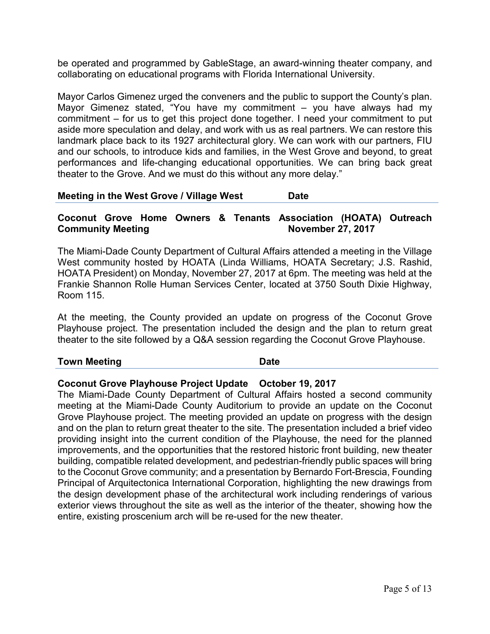be operated and programmed by GableStage, an award-winning theater company, and collaborating on educational programs with Florida International University.

Mayor Carlos Gimenez urged the conveners and the public to support the County's plan. Mayor Gimenez stated, "You have my commitment – you have always had my commitment – for us to get this project done together. I need your commitment to put aside more speculation and delay, and work with us as real partners. We can restore this landmark place back to its 1927 architectural glory. We can work with our partners, FIU and our schools, to introduce kids and families, in the West Grove and beyond, to great performances and life-changing educational opportunities. We can bring back great theater to the Grove. And we must do this without any more delay."

#### **Meeting in the West Grove / Village West Date**

# **Coconut Grove Home Owners & Tenants Association (HOATA) Outreach Community Meeting Community Meeting 27, 2017**

The Miami-Dade County Department of Cultural Affairs attended a meeting in the Village West community hosted by HOATA (Linda Williams, HOATA Secretary; J.S. Rashid, HOATA President) on Monday, November 27, 2017 at 6pm. The meeting was held at the Frankie Shannon Rolle Human Services Center, located at 3750 South Dixie Highway, Room 115.

At the meeting, the County provided an update on progress of the Coconut Grove Playhouse project. The presentation included the design and the plan to return great theater to the site followed by a Q&A session regarding the Coconut Grove Playhouse.

#### **Town Meeting Communication Communication Communication Communication Communication Communication Communication**

# **Coconut Grove Playhouse Project Update October 19, 2017**

The Miami-Dade County Department of Cultural Affairs hosted a second community meeting at the Miami-Dade County Auditorium to provide an update on the Coconut Grove Playhouse project. The meeting provided an update on progress with the design and on the plan to return great theater to the site. The presentation included a brief video providing insight into the current condition of the Playhouse, the need for the planned improvements, and the opportunities that the restored historic front building, new theater building, compatible related development, and pedestrian-friendly public spaces will bring to the Coconut Grove community; and a presentation by Bernardo Fort-Brescia, Founding Principal of Arquitectonica International Corporation, highlighting the new drawings from the design development phase of the architectural work including renderings of various exterior views throughout the site as well as the interior of the theater, showing how the entire, existing proscenium arch will be re-used for the new theater.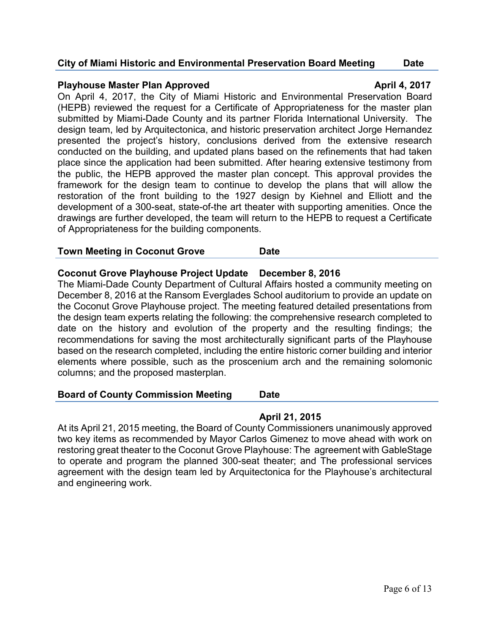# **City of Miami Historic and Environmental Preservation Board Meeting Date**

#### **Playhouse Master Plan Approved Constrainer and April 4, 2017**

On April 4, 2017, the City of Miami Historic and Environmental Preservation Board (HEPB) reviewed the request for a Certificate of Appropriateness for the master plan submitted by Miami-Dade County and its partner Florida International University. The design team, led by Arquitectonica, and historic preservation architect Jorge Hernandez presented the project's history, conclusions derived from the extensive research conducted on the building, and updated plans based on the refinements that had taken place since the application had been submitted. After hearing extensive testimony from the public, the HEPB approved the master plan concept. This approval provides the framework for the design team to continue to develop the plans that will allow the restoration of the front building to the 1927 design by Kiehnel and Elliott and the development of a 300-seat, state-of-the art theater with supporting amenities. Once the drawings are further developed, the team will return to the HEPB to request a Certificate of Appropriateness for the building components.

#### **Town Meeting in Coconut Grove Date**

#### **Coconut Grove Playhouse Project Update December 8, 2016**

The Miami-Dade County Department of Cultural Affairs hosted a community meeting on December 8, 2016 at the Ransom Everglades School auditorium to provide an update on the Coconut Grove Playhouse project. The meeting featured detailed presentations from the design team experts relating the following: the comprehensive research completed to date on the history and evolution of the property and the resulting findings; the recommendations for saving the most architecturally significant parts of the Playhouse based on the research completed, including the entire historic corner building and interior elements where possible, such as the proscenium arch and the remaining solomonic columns; and the proposed masterplan.

#### **Board of County Commission Meeting Date**

# **April 21, 2015**

At its April 21, 2015 meeting, the Board of County Commissioners unanimously approved two key items as recommended by Mayor Carlos Gimenez to move ahead with work on restoring great theater to the Coconut Grove Playhouse: The agreement with GableStage to operate and program the planned 300-seat theater; and The professional services agreement with the design team led by Arquitectonica for the Playhouse's architectural and engineering work.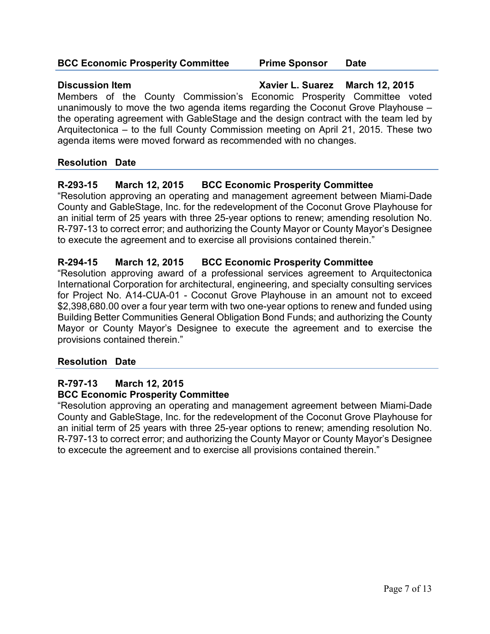#### **BCC Economic Prosperity Committee Prime Sponsor Date**

**Discussion Item Xavier L. Suarez March 12, 2015** Members of the County Commission's Economic Prosperity Committee voted unanimously to move the two agenda items regarding the Coconut Grove Playhouse – the operating agreement with GableStage and the design contract with the team led by Arquitectonica – to the full County Commission meeting on April 21, 2015. These two agenda items were moved forward as recommended with no changes.

# **Resolution Date**

# **R-293-15 March 12, 2015 BCC Economic Prosperity Committee**

"Resolution approving an operating and management agreement between Miami-Dade County and GableStage, Inc. for the redevelopment of the Coconut Grove Playhouse for an initial term of 25 years with three 25-year options to renew; amending resolution No. R-797-13 to correct error; and authorizing the County Mayor or County Mayor's Designee to execute the agreement and to exercise all provisions contained therein."

# **R-294-15 March 12, 2015 BCC Economic Prosperity Committee**

"Resolution approving award of a professional services agreement to Arquitectonica International Corporation for architectural, engineering, and specialty consulting services for Project No. A14-CUA-01 - Coconut Grove Playhouse in an amount not to exceed \$2,398,680.00 over a four year term with two one-year options to renew and funded using Building Better Communities General Obligation Bond Funds; and authorizing the County Mayor or County Mayor's Designee to execute the agreement and to exercise the provisions contained therein."

# **Resolution Date**

# **R-797-13 March 12, 2015 BCC Economic Prosperity Committee**

"Resolution approving an operating and management agreement between Miami-Dade County and GableStage, Inc. for the redevelopment of the Coconut Grove Playhouse for an initial term of 25 years with three 25-year options to renew; amending resolution No. R-797-13 to correct error; and authorizing the County Mayor or County Mayor's Designee to excecute the agreement and to exercise all provisions contained therein."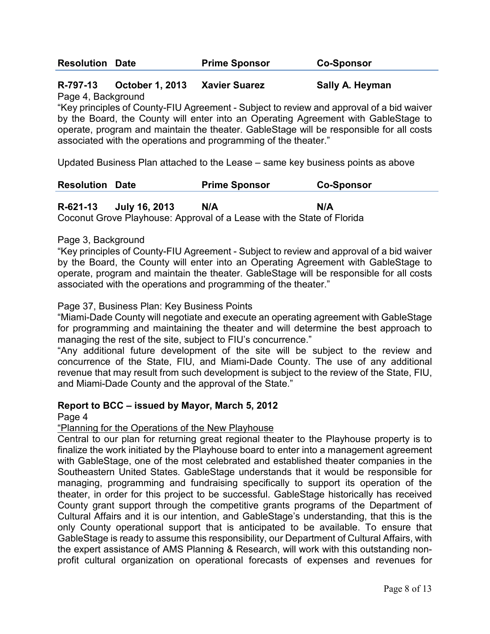| <b>Resolution Date</b> | <b>Prime Sponsor</b> | <b>Co-Sponsor</b> |
|------------------------|----------------------|-------------------|
|                        |                      |                   |

# **R-797-13 October 1, 2013 Xavier Suarez Sally A. Heyman**

Page 4, Background

"Key principles of County-FIU Agreement - Subject to review and approval of a bid waiver by the Board, the County will enter into an Operating Agreement with GableStage to operate, program and maintain the theater. GableStage will be responsible for all costs associated with the operations and programming of the theater."

Updated Business Plan attached to the Lease – same key business points as above

| <b>Resolution Date</b> | <b>Prime Sponsor</b> | <b>Co-Sponsor</b> |
|------------------------|----------------------|-------------------|
|                        |                      |                   |

# **R-621-13 July 16, 2013 N/A N/A**

Coconut Grove Playhouse: Approval of a Lease with the State of Florida

#### Page 3, Background

"Key principles of County-FIU Agreement - Subject to review and approval of a bid waiver by the Board, the County will enter into an Operating Agreement with GableStage to operate, program and maintain the theater. GableStage will be responsible for all costs associated with the operations and programming of the theater."

#### Page 37, Business Plan: Key Business Points

"Miami-Dade County will negotiate and execute an operating agreement with GableStage for programming and maintaining the theater and will determine the best approach to managing the rest of the site, subject to FIU's concurrence."

"Any additional future development of the site will be subject to the review and concurrence of the State, FIU, and Miami-Dade County. The use of any additional revenue that may result from such development is subject to the review of the State, FIU, and Miami-Dade County and the approval of the State."

# **Report to BCC – issued by Mayor, March 5, 2012**

Page 4

"Planning for the Operations of the New Playhouse

Central to our plan for returning great regional theater to the Playhouse property is to finalize the work initiated by the Playhouse board to enter into a management agreement with GableStage, one of the most celebrated and established theater companies in the Southeastern United States. GableStage understands that it would be responsible for managing, programming and fundraising specifically to support its operation of the theater, in order for this project to be successful. GableStage historically has received County grant support through the competitive grants programs of the Department of Cultural Affairs and it is our intention, and GableStage's understanding, that this is the only County operational support that is anticipated to be available. To ensure that GableStage is ready to assume this responsibility, our Department of Cultural Affairs, with the expert assistance of AMS Planning & Research, will work with this outstanding nonprofit cultural organization on operational forecasts of expenses and revenues for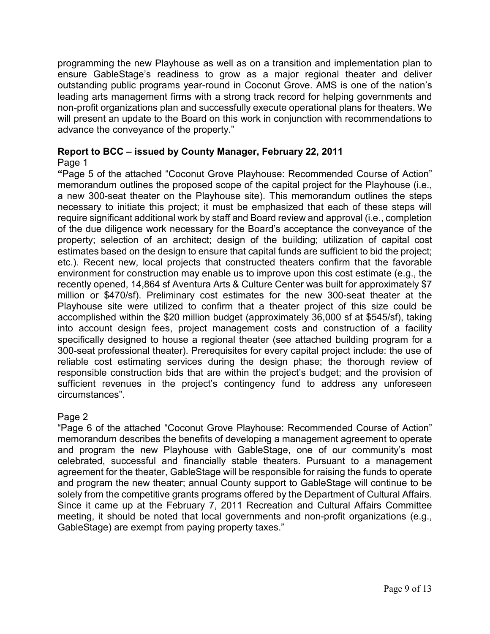programming the new Playhouse as well as on a transition and implementation plan to ensure GableStage's readiness to grow as a major regional theater and deliver outstanding public programs year-round in Coconut Grove. AMS is one of the nation's leading arts management firms with a strong track record for helping governments and non-profit organizations plan and successfully execute operational plans for theaters. We will present an update to the Board on this work in conjunction with recommendations to advance the conveyance of the property."

# **Report to BCC – issued by County Manager, February 22, 2011**

#### Page 1

**"**Page 5 of the attached "Coconut Grove Playhouse: Recommended Course of Action" memorandum outlines the proposed scope of the capital project for the Playhouse (i.e., a new 300-seat theater on the Playhouse site). This memorandum outlines the steps necessary to initiate this project; it must be emphasized that each of these steps will require significant additional work by staff and Board review and approval (i.e., completion of the due diligence work necessary for the Board's acceptance the conveyance of the property; selection of an architect; design of the building; utilization of capital cost estimates based on the design to ensure that capital funds are sufficient to bid the project; etc.). Recent new, local projects that constructed theaters confirm that the favorable environment for construction may enable us to improve upon this cost estimate (e.g., the recently opened, 14,864 sf Aventura Arts & Culture Center was built for approximately \$7 million or \$470/sf). Preliminary cost estimates for the new 300-seat theater at the Playhouse site were utilized to confirm that a theater project of this size could be accomplished within the \$20 million budget (approximately 36,000 sf at \$545/sf), taking into account design fees, project management costs and construction of a facility specifically designed to house a regional theater (see attached building program for a 300-seat professional theater). Prerequisites for every capital project include: the use of reliable cost estimating services during the design phase; the thorough review of responsible construction bids that are within the project's budget; and the provision of sufficient revenues in the project's contingency fund to address any unforeseen circumstances".

# Page 2

"Page 6 of the attached "Coconut Grove Playhouse: Recommended Course of Action" memorandum describes the benefits of developing a management agreement to operate and program the new Playhouse with GableStage, one of our community's most celebrated, successful and financially stable theaters. Pursuant to a management agreement for the theater, GableStage will be responsible for raising the funds to operate and program the new theater; annual County support to GableStage will continue to be solely from the competitive grants programs offered by the Department of Cultural Affairs. Since it came up at the February 7, 2011 Recreation and Cultural Affairs Committee meeting, it should be noted that local governments and non-profit organizations (e.g., GableStage) are exempt from paying property taxes."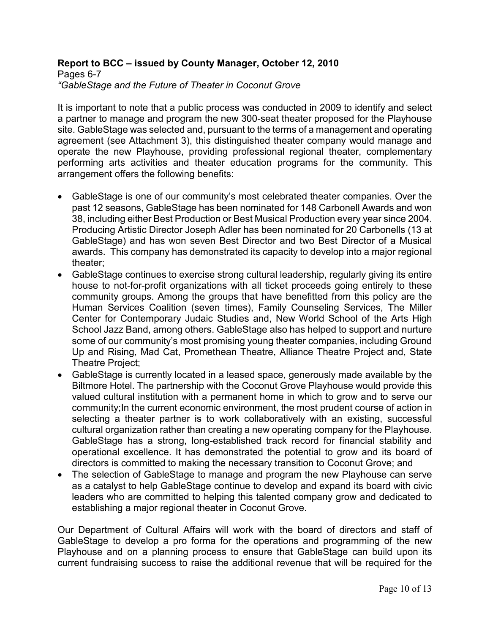#### **Report to BCC – issued by County Manager, October 12, 2010** Pages 6-7 *"GableStage and the Future of Theater in Coconut Grove*

It is important to note that a public process was conducted in 2009 to identify and select a partner to manage and program the new 300-seat theater proposed for the Playhouse site. GableStage was selected and, pursuant to the terms of a management and operating agreement (see Attachment 3), this distinguished theater company would manage and operate the new Playhouse, providing professional regional theater, complementary performing arts activities and theater education programs for the community. This arrangement offers the following benefits:

- GableStage is one of our community's most celebrated theater companies. Over the past 12 seasons, GableStage has been nominated for 148 Carbonell Awards and won 38, including either Best Production or Best Musical Production every year since 2004. Producing Artistic Director Joseph Adler has been nominated for 20 Carbonells (13 at GableStage) and has won seven Best Director and two Best Director of a Musical awards. This company has demonstrated its capacity to develop into a major regional theater;
- GableStage continues to exercise strong cultural leadership, regularly giving its entire house to not-for-profit organizations with all ticket proceeds going entirely to these community groups. Among the groups that have benefitted from this policy are the Human Services Coalition (seven times), Family Counseling Services, The Miller Center for Contemporary Judaic Studies and, New World School of the Arts High School Jazz Band, among others. GableStage also has helped to support and nurture some of our community's most promising young theater companies, including Ground Up and Rising, Mad Cat, Promethean Theatre, Alliance Theatre Project and, State Theatre Project;
- GableStage is currently located in a leased space, generously made available by the Biltmore Hotel. The partnership with the Coconut Grove Playhouse would provide this valued cultural institution with a permanent home in which to grow and to serve our community;In the current economic environment, the most prudent course of action in selecting a theater partner is to work collaboratively with an existing, successful cultural organization rather than creating a new operating company for the Playhouse. GableStage has a strong, long-established track record for financial stability and operational excellence. It has demonstrated the potential to grow and its board of directors is committed to making the necessary transition to Coconut Grove; and
- The selection of GableStage to manage and program the new Playhouse can serve as a catalyst to help GableStage continue to develop and expand its board with civic leaders who are committed to helping this talented company grow and dedicated to establishing a major regional theater in Coconut Grove.

Our Department of Cultural Affairs will work with the board of directors and staff of GableStage to develop a pro forma for the operations and programming of the new Playhouse and on a planning process to ensure that GableStage can build upon its current fundraising success to raise the additional revenue that will be required for the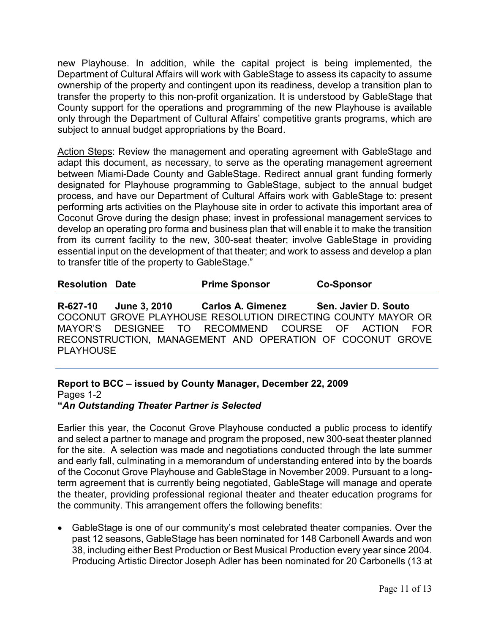new Playhouse. In addition, while the capital project is being implemented, the Department of Cultural Affairs will work with GableStage to assess its capacity to assume ownership of the property and contingent upon its readiness, develop a transition plan to transfer the property to this non-profit organization. It is understood by GableStage that County support for the operations and programming of the new Playhouse is available only through the Department of Cultural Affairs' competitive grants programs, which are subject to annual budget appropriations by the Board.

Action Steps: Review the management and operating agreement with GableStage and adapt this document, as necessary, to serve as the operating management agreement between Miami-Dade County and GableStage. Redirect annual grant funding formerly designated for Playhouse programming to GableStage, subject to the annual budget process, and have our Department of Cultural Affairs work with GableStage to: present performing arts activities on the Playhouse site in order to activate this important area of Coconut Grove during the design phase; invest in professional management services to develop an operating pro forma and business plan that will enable it to make the transition from its current facility to the new, 300-seat theater; involve GableStage in providing essential input on the development of that theater; and work to assess and develop a plan to transfer title of the property to GableStage."

| <b>Resolution Date</b> |  | <b>Prime Sponsor</b> | <b>Co-Sponsor</b> |
|------------------------|--|----------------------|-------------------|
|------------------------|--|----------------------|-------------------|

**R-627-10 June 3, 2010 Carlos A. Gimenez Sen. Javier D. Souto** COCONUT GROVE PLAYHOUSE RESOLUTION DIRECTING COUNTY MAYOR OR MAYOR'S DESIGNEE TO RECOMMEND COURSE OF ACTION FOR RECONSTRUCTION, MANAGEMENT AND OPERATION OF COCONUT GROVE PI AYHOUSE

#### **Report to BCC – issued by County Manager, December 22, 2009** Pages 1-2 **"***An Outstanding Theater Partner is Selected*

Earlier this year, the Coconut Grove Playhouse conducted a public process to identify and select a partner to manage and program the proposed, new 300-seat theater planned for the site. A selection was made and negotiations conducted through the late summer and early fall, culminating in a memorandum of understanding entered into by the boards of the Coconut Grove Playhouse and GableStage in November 2009. Pursuant to a longterm agreement that is currently being negotiated, GableStage will manage and operate the theater, providing professional regional theater and theater education programs for the community. This arrangement offers the following benefits:

• GableStage is one of our community's most celebrated theater companies. Over the past 12 seasons, GableStage has been nominated for 148 Carbonell Awards and won 38, including either Best Production or Best Musical Production every year since 2004. Producing Artistic Director Joseph Adler has been nominated for 20 Carbonells (13 at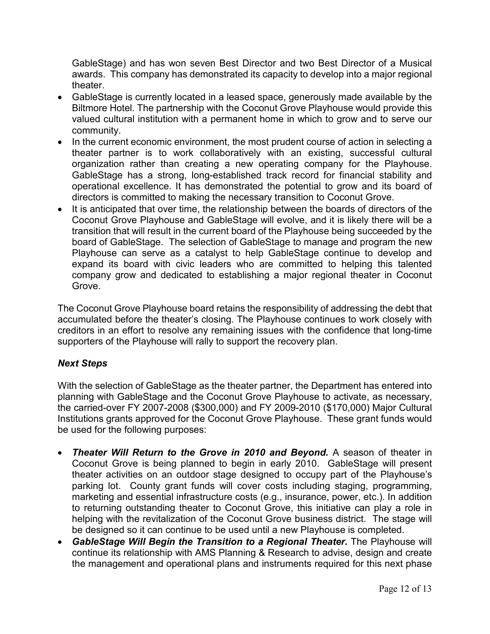GableStage) and has won seven Best Director and two Best Director of a Musical awards. This company has demonstrated its capacity to develop into a major regional theater.

- GableStage is currently located in a leased space, generously made available by the Biltmore Hotel. The partnership with the Coconut Grove Playhouse would provide this valued cultural institution with a permanent home in which to grow and to serve our community.
- In the current economic environment, the most prudent course of action in selecting a theater partner is to work collaboratively with an existing, successful cultural organization rather than creating a new operating company for the Playhouse. GableStage has a strong, long-established track record for financial stability and operational excellence. It has demonstrated the potential to grow and its board of directors is committed to making the necessary transition to Coconut Grove.
- It is anticipated that over time, the relationship between the boards of directors of the Coconut Grove Playhouse and GableStage will evolve, and it is likely there will be a transition that will result in the current board of the Playhouse being succeeded by the board of GableStage. The selection of GableStage to manage and program the new Playhouse can serve as a catalyst to help GableStage continue to develop and expand its board with civic leaders who are committed to helping this talented company grow and dedicated to establishing a major regional theater in Coconut Grove.

The Coconut Grove Playhouse board retains the responsibility of addressing the debt that accumulated before the theater's closing. The Playhouse continues to work closely with creditors in an effort to resolve any remaining issues with the confidence that long-time supporters of the Playhouse will rally to support the recovery plan.

# *Next Steps*

With the selection of GableStage as the theater partner, the Department has entered into planning with GableStage and the Coconut Grove Playhouse to activate, as necessary, the carried-over FY 2007-2008 (\$300,000) and FY 2009-2010 (\$170,000) Major Cultural Institutions grants approved for the Coconut Grove Playhouse. These grant funds would be used for the following purposes:

- *Theater Will Return to the Grove in 2010 and Beyond.* A season of theater in Coconut Grove is being planned to begin in early 2010. GableStage will present theater activities on an outdoor stage designed to occupy part of the Playhouse's parking lot. County grant funds will cover costs including staging, programming, marketing and essential infrastructure costs (e.g., insurance, power, etc.). In addition to returning outstanding theater to Coconut Grove, this initiative can play a role in helping with the revitalization of the Coconut Grove business district. The stage will be designed so it can continue to be used until a new Playhouse is completed.
- *GableStage Will Begin the Transition to a Regional Theater.* The Playhouse will continue its relationship with AMS Planning & Research to advise, design and create the management and operational plans and instruments required for this next phase